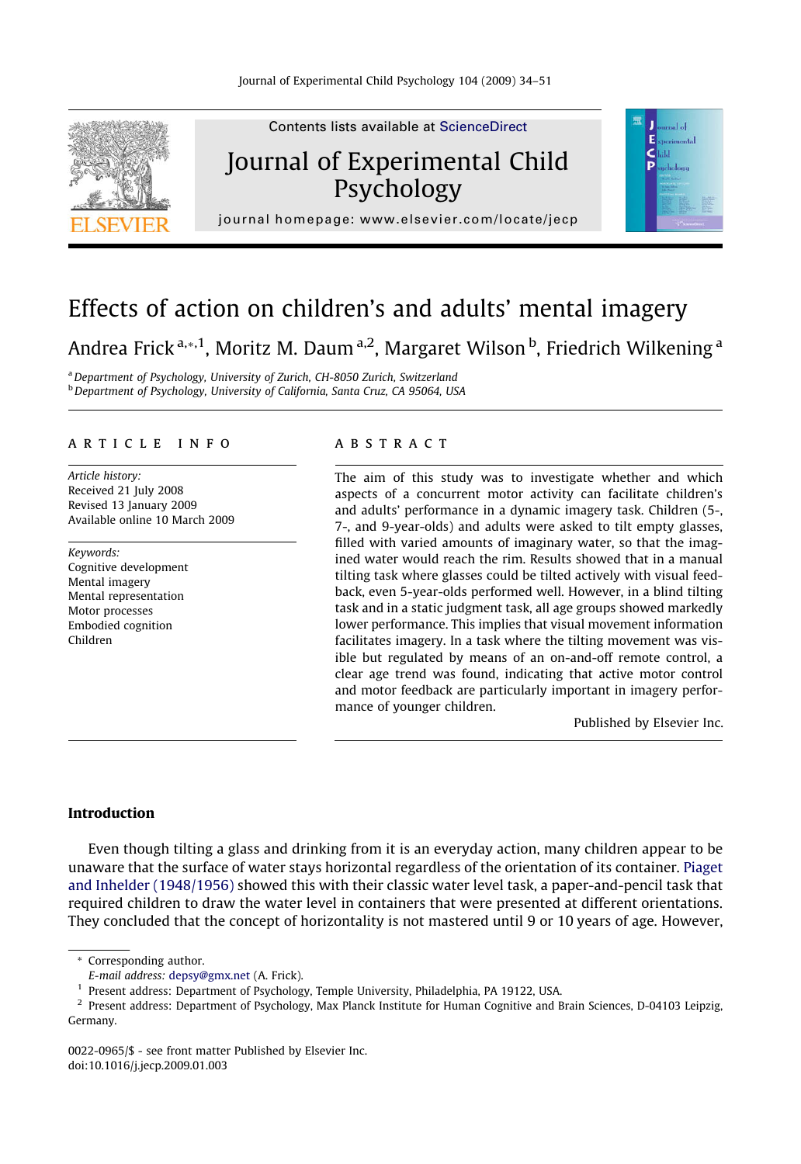

## Effects of action on children's and adults' mental imagery

### Andrea Frick <sup>a,</sup>\*,<sup>1</sup>, Moritz M. Daum <sup>a,2</sup>, Margaret Wilson <sup>b</sup>, Friedrich Wilkening <sup>a</sup>

<sup>a</sup> Department of Psychology, University of Zurich, CH-8050 Zurich, Switzerland <sup>b</sup> Department of Psychology, University of California, Santa Cruz, CA 95064, USA

#### article info

Article history: Received 21 July 2008 Revised 13 January 2009 Available online 10 March 2009

Keywords: Cognitive development Mental imagery Mental representation Motor processes Embodied cognition Children

#### **ABSTRACT**

The aim of this study was to investigate whether and which aspects of a concurrent motor activity can facilitate children's and adults' performance in a dynamic imagery task. Children (5-, 7-, and 9-year-olds) and adults were asked to tilt empty glasses, filled with varied amounts of imaginary water, so that the imagined water would reach the rim. Results showed that in a manual tilting task where glasses could be tilted actively with visual feedback, even 5-year-olds performed well. However, in a blind tilting task and in a static judgment task, all age groups showed markedly lower performance. This implies that visual movement information facilitates imagery. In a task where the tilting movement was visible but regulated by means of an on-and-off remote control, a clear age trend was found, indicating that active motor control and motor feedback are particularly important in imagery performance of younger children.

Published by Elsevier Inc.

#### Introduction

Even though tilting a glass and drinking from it is an everyday action, many children appear to be unaware that the surface of water stays horizontal regardless of the orientation of its container. [Piaget](#page--1-0) [and Inhelder \(1948/1956\)](#page--1-0) showed this with their classic water level task, a paper-and-pencil task that required children to draw the water level in containers that were presented at different orientations. They concluded that the concept of horizontality is not mastered until 9 or 10 years of age. However,

\* Corresponding author.

<sup>2</sup> Present address: Department of Psychology, Max Planck Institute for Human Cognitive and Brain Sciences, D-04103 Leipzig, Germany.

0022-0965/\$ - see front matter Published by Elsevier Inc. doi:10.1016/j.jecp.2009.01.003

E-mail address: [depsy@gmx.net](mailto:depsy@gmx.net) (A. Frick).

<sup>&</sup>lt;sup>1</sup> Present address: Department of Psychology, Temple University, Philadelphia, PA 19122, USA.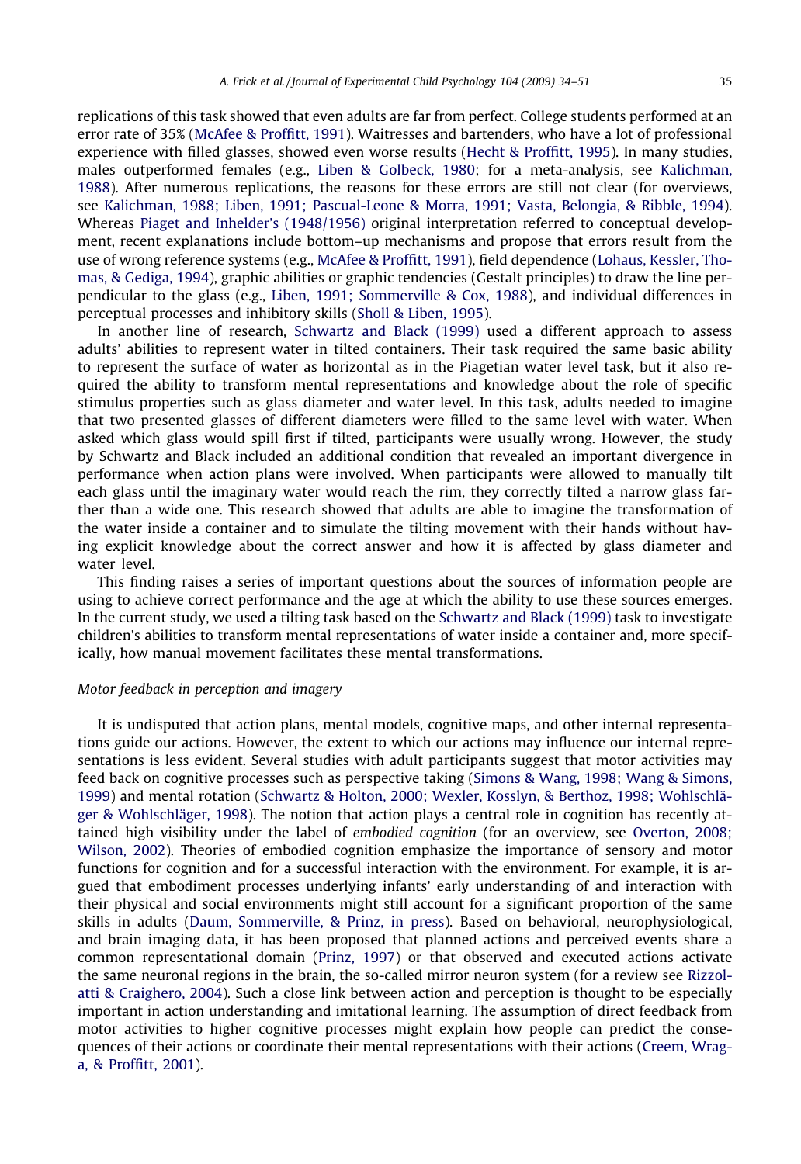replications of this task showed that even adults are far from perfect. College students performed at an error rate of 35% ([McAfee & Proffitt, 1991\)](#page--1-0). Waitresses and bartenders, who have a lot of professional experience with filled glasses, showed even worse results ([Hecht & Proffitt, 1995\)](#page--1-0). In many studies, males outperformed females (e.g., [Liben & Golbeck, 1980;](#page--1-0) for a meta-analysis, see [Kalichman,](#page--1-0) [1988](#page--1-0)). After numerous replications, the reasons for these errors are still not clear (for overviews, see [Kalichman, 1988; Liben, 1991; Pascual-Leone & Morra, 1991; Vasta, Belongia, & Ribble, 1994\)](#page--1-0). Whereas [Piaget and Inhelder's \(1948/1956\)](#page--1-0) original interpretation referred to conceptual development, recent explanations include bottom–up mechanisms and propose that errors result from the use of wrong reference systems (e.g., [McAfee & Proffitt, 1991\)](#page--1-0), field dependence [\(Lohaus, Kessler, Tho](#page--1-0)[mas, & Gediga, 1994](#page--1-0)), graphic abilities or graphic tendencies (Gestalt principles) to draw the line perpendicular to the glass (e.g., [Liben, 1991; Sommerville & Cox, 1988](#page--1-0)), and individual differences in perceptual processes and inhibitory skills ([Sholl & Liben, 1995\)](#page--1-0).

In another line of research, [Schwartz and Black \(1999\)](#page--1-0) used a different approach to assess adults' abilities to represent water in tilted containers. Their task required the same basic ability to represent the surface of water as horizontal as in the Piagetian water level task, but it also required the ability to transform mental representations and knowledge about the role of specific stimulus properties such as glass diameter and water level. In this task, adults needed to imagine that two presented glasses of different diameters were filled to the same level with water. When asked which glass would spill first if tilted, participants were usually wrong. However, the study by Schwartz and Black included an additional condition that revealed an important divergence in performance when action plans were involved. When participants were allowed to manually tilt each glass until the imaginary water would reach the rim, they correctly tilted a narrow glass farther than a wide one. This research showed that adults are able to imagine the transformation of the water inside a container and to simulate the tilting movement with their hands without having explicit knowledge about the correct answer and how it is affected by glass diameter and water level.

This finding raises a series of important questions about the sources of information people are using to achieve correct performance and the age at which the ability to use these sources emerges. In the current study, we used a tilting task based on the [Schwartz and Black \(1999\)](#page--1-0) task to investigate children's abilities to transform mental representations of water inside a container and, more specifically, how manual movement facilitates these mental transformations.

#### Motor feedback in perception and imagery

It is undisputed that action plans, mental models, cognitive maps, and other internal representations guide our actions. However, the extent to which our actions may influence our internal representations is less evident. Several studies with adult participants suggest that motor activities may feed back on cognitive processes such as perspective taking ([Simons & Wang, 1998; Wang & Simons,](#page--1-0) [1999](#page--1-0)) and mental rotation [\(Schwartz & Holton, 2000; Wexler, Kosslyn, & Berthoz, 1998; Wohlschlä](#page--1-0)[ger & Wohlschläger, 1998\)](#page--1-0). The notion that action plays a central role in cognition has recently attained high visibility under the label of embodied cognition (for an overview, see [Overton, 2008;](#page--1-0) [Wilson, 2002\)](#page--1-0). Theories of embodied cognition emphasize the importance of sensory and motor functions for cognition and for a successful interaction with the environment. For example, it is argued that embodiment processes underlying infants' early understanding of and interaction with their physical and social environments might still account for a significant proportion of the same skills in adults ([Daum, Sommerville, & Prinz, in press\)](#page--1-0). Based on behavioral, neurophysiological, and brain imaging data, it has been proposed that planned actions and perceived events share a common representational domain ([Prinz, 1997\)](#page--1-0) or that observed and executed actions activate the same neuronal regions in the brain, the so-called mirror neuron system (for a review see [Rizzol](#page--1-0)[atti & Craighero, 2004\)](#page--1-0). Such a close link between action and perception is thought to be especially important in action understanding and imitational learning. The assumption of direct feedback from motor activities to higher cognitive processes might explain how people can predict the consequences of their actions or coordinate their mental representations with their actions [\(Creem, Wrag](#page--1-0)[a, & Proffitt, 2001\)](#page--1-0).